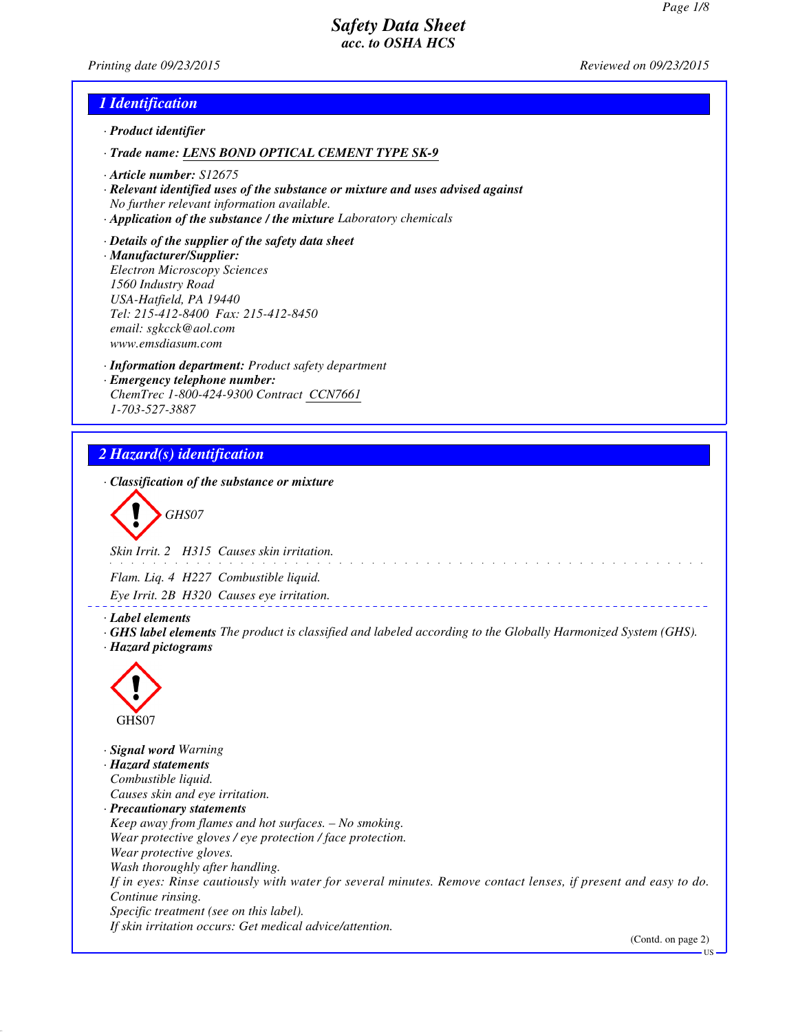*Printing date 09/23/2015 Reviewed on 09/23/2015*

## *1 Identification*

- *· Product identifier*
- *· Trade name: LENS BOND OPTICAL CEMENT TYPE SK-9*
- *· Article number: S12675*
- *· Relevant identified uses of the substance or mixture and uses advised against No further relevant information available.*
- *· Application of the substance / the mixture Laboratory chemicals*
- *· Details of the supplier of the safety data sheet · Manufacturer/Supplier: Electron Microscopy Sciences 1560 Industry Road USA-Hatfield, PA 19440 Tel: 215-412-8400 Fax: 215-412-8450 email: sgkcck@aol.com www.emsdiasum.com*
- *· Information department: Product safety department · Emergency telephone number: ChemTrec 1-800-424-9300 Contract CCN7661 1-703-527-3887*

# *2 Hazard(s) identification*

*· Classification of the substance or mixture*

*GHS07*

*Skin Irrit. 2 H315 Causes skin irritation.*

*Flam. Liq. 4 H227 Combustible liquid.*

*Eye Irrit. 2B H320 Causes eye irritation.*

*· Label elements*

*· GHS label elements The product is classified and labeled according to the Globally Harmonized System (GHS). · Hazard pictograms*



*· Signal word Warning · Hazard statements Combustible liquid. Causes skin and eye irritation. · Precautionary statements Keep away from flames and hot surfaces. – No smoking. Wear protective gloves / eye protection / face protection. Wear protective gloves. Wash thoroughly after handling. If in eyes: Rinse cautiously with water for several minutes. Remove contact lenses, if present and easy to do. Continue rinsing. Specific treatment (see on this label). If skin irritation occurs: Get medical advice/attention.*

(Contd. on page 2)

US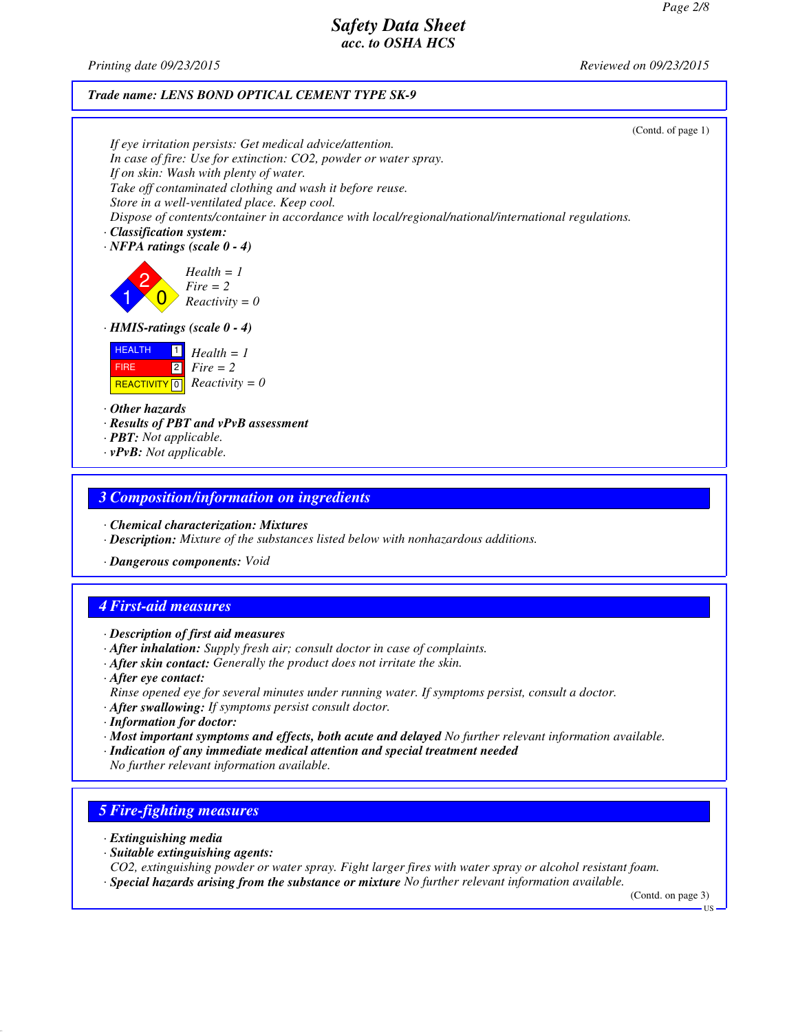*Printing date 09/23/2015 Reviewed on 09/23/2015*

### *Trade name: LENS BOND OPTICAL CEMENT TYPE SK-9*

|                                                                                                                                 | (Contd. of page 1) |
|---------------------------------------------------------------------------------------------------------------------------------|--------------------|
| If eye irritation persists: Get medical advice/attention.                                                                       |                    |
| In case of fire: Use for extinction: CO2, powder or water spray.                                                                |                    |
| If on skin: Wash with plenty of water.<br>Take off contaminated clothing and wash it before reuse.                              |                    |
| Store in a well-ventilated place. Keep cool.                                                                                    |                    |
| Dispose of contents/container in accordance with local/regional/national/international regulations.                             |                    |
| · Classification system:                                                                                                        |                    |
| $\cdot$ NFPA ratings (scale 0 - 4)                                                                                              |                    |
| $Health = 1$<br>$Fire = 2$<br>$Reactivity = 0$                                                                                  |                    |
| $\cdot$ HMIS-ratings (scale $0 - 4$ )                                                                                           |                    |
| <b>HEALTH</b><br>$Health = 1$<br>$\sqrt{2}$<br>$Fire = 2$<br><b>FIRE</b><br>$Reactivity = 0$<br>$\sqrt{0}$<br><b>REACTIVITY</b> |                    |
| $\cdot$ Other hazards                                                                                                           |                    |
| $\cdot$ Results of PBT and vPvB assessment                                                                                      |                    |
| $\cdot$ <b>PBT:</b> Not applicable.                                                                                             |                    |
| $\cdot$ <b>vPvB:</b> Not applicable.                                                                                            |                    |
|                                                                                                                                 |                    |

## *3 Composition/information on ingredients*

*· Chemical characterization: Mixtures*

- *· Description: Mixture of the substances listed below with nonhazardous additions.*
- *· Dangerous components: Void*

# *4 First-aid measures*

*· Description of first aid measures*

- *· After inhalation: Supply fresh air; consult doctor in case of complaints.*
- *· After skin contact: Generally the product does not irritate the skin.*
- *· After eye contact:*
- *Rinse opened eye for several minutes under running water. If symptoms persist, consult a doctor.*
- *· After swallowing: If symptoms persist consult doctor.*
- *· Information for doctor:*
- *· Most important symptoms and effects, both acute and delayed No further relevant information available.*
- *· Indication of any immediate medical attention and special treatment needed*
- *No further relevant information available.*

## *5 Fire-fighting measures*

- *· Extinguishing media*
- *· Suitable extinguishing agents:*

*CO2, extinguishing powder or water spray. Fight larger fires with water spray or alcohol resistant foam. · Special hazards arising from the substance or mixture No further relevant information available.*

(Contd. on page 3)

US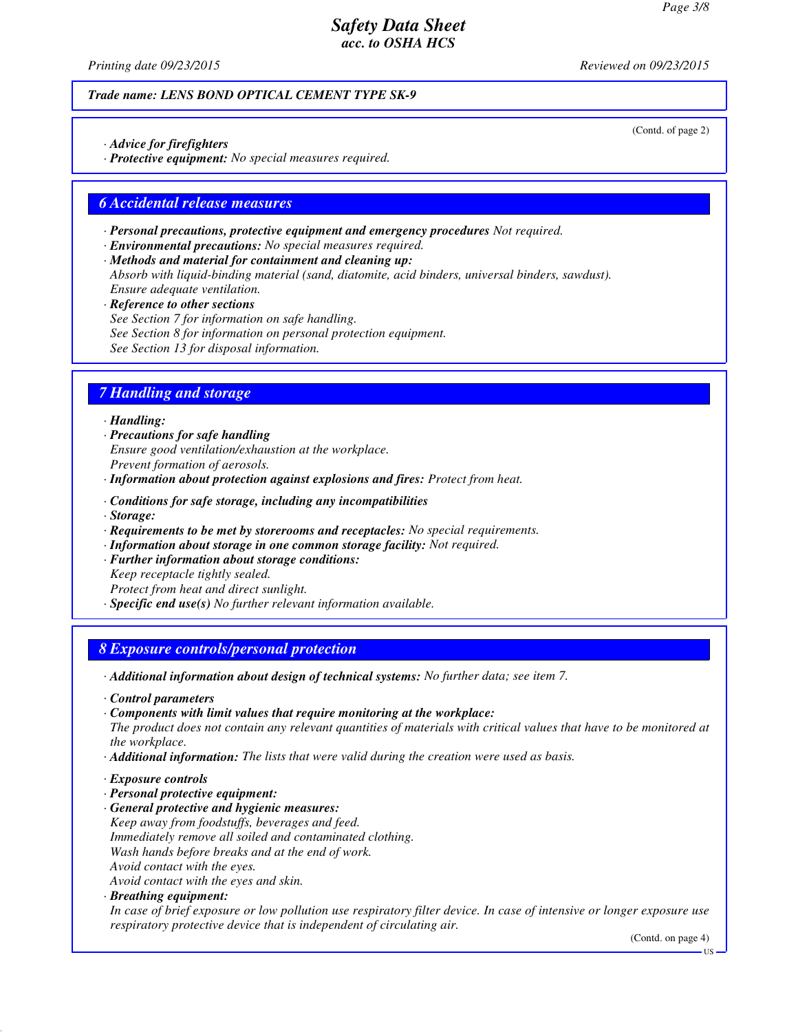*Printing date 09/23/2015 Reviewed on 09/23/2015*

(Contd. of page 2)

### *Trade name: LENS BOND OPTICAL CEMENT TYPE SK-9*

- *· Advice for firefighters*
- *· Protective equipment: No special measures required.*

## *6 Accidental release measures*

- *· Personal precautions, protective equipment and emergency procedures Not required.*
- *· Environmental precautions: No special measures required.*
- *· Methods and material for containment and cleaning up: Absorb with liquid-binding material (sand, diatomite, acid binders, universal binders, sawdust). Ensure adequate ventilation.*
- *· Reference to other sections See Section 7 for information on safe handling. See Section 8 for information on personal protection equipment. See Section 13 for disposal information.*

## *7 Handling and storage*

### *· Handling:*

- *· Precautions for safe handling Ensure good ventilation/exhaustion at the workplace. Prevent formation of aerosols.*
- *· Information about protection against explosions and fires: Protect from heat.*
- *· Conditions for safe storage, including any incompatibilities · Storage:*
- *· Requirements to be met by storerooms and receptacles: No special requirements.*
- *· Information about storage in one common storage facility: Not required.*
- *· Further information about storage conditions:*
- *Keep receptacle tightly sealed. Protect from heat and direct sunlight.*
- *· Specific end use(s) No further relevant information available.*

## *8 Exposure controls/personal protection*

- *· Additional information about design of technical systems: No further data; see item 7.*
- *· Control parameters*
- *· Components with limit values that require monitoring at the workplace:*

*The product does not contain any relevant quantities of materials with critical values that have to be monitored at the workplace.*

- *· Additional information: The lists that were valid during the creation were used as basis.*
- *· Exposure controls*
- *· Personal protective equipment:*
- *· General protective and hygienic measures:*
- *Keep away from foodstuffs, beverages and feed. Immediately remove all soiled and contaminated clothing. Wash hands before breaks and at the end of work. Avoid contact with the eyes.*
- *Avoid contact with the eyes and skin.*
- *· Breathing equipment:*

*In case of brief exposure or low pollution use respiratory filter device. In case of intensive or longer exposure use respiratory protective device that is independent of circulating air.*

(Contd. on page 4)

US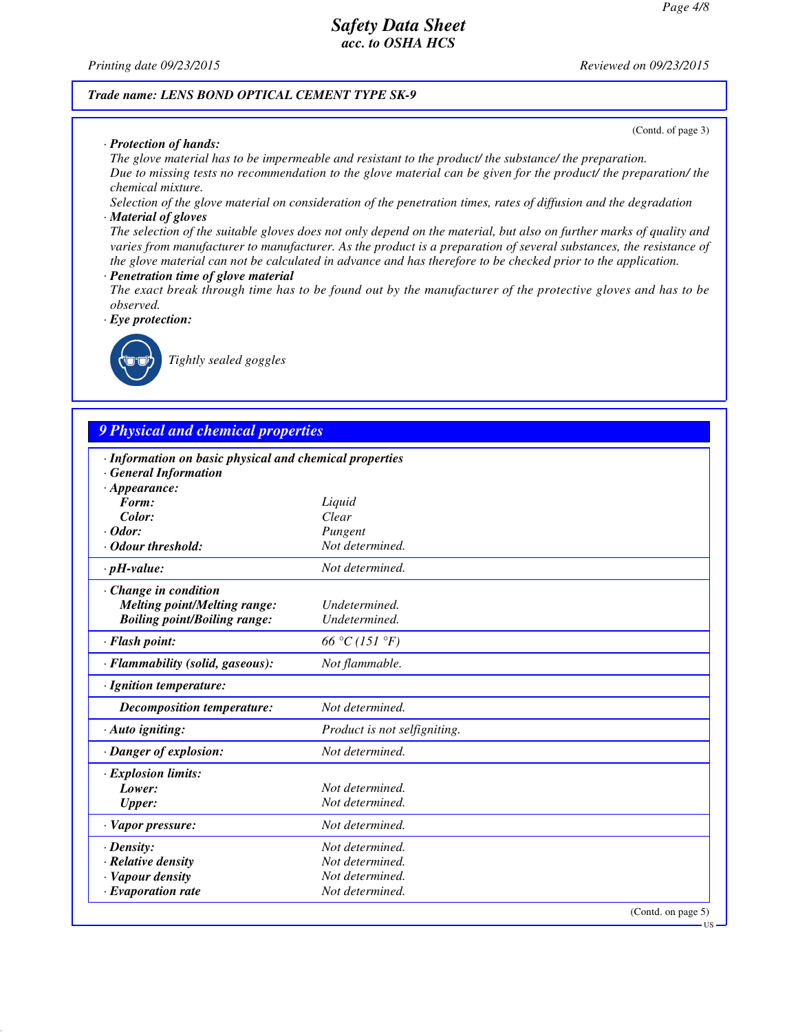*Printing date 09/23/2015 Reviewed on 09/23/2015*

(Contd. of page 3)

### *Trade name: LENS BOND OPTICAL CEMENT TYPE SK-9*

### *· Protection of hands:*

*The glove material has to be impermeable and resistant to the product/ the substance/ the preparation. Due to missing tests no recommendation to the glove material can be given for the product/ the preparation/ the chemical mixture.*

*Selection of the glove material on consideration of the penetration times, rates of diffusion and the degradation · Material of gloves*

*The selection of the suitable gloves does not only depend on the material, but also on further marks of quality and varies from manufacturer to manufacturer. As the product is a preparation of several substances, the resistance of the glove material can not be calculated in advance and has therefore to be checked prior to the application.*

### *· Penetration time of glove material*

*The exact break through time has to be found out by the manufacturer of the protective gloves and has to be observed.*

*· Eye protection:*



*Tightly sealed goggles*

# *9 Physical and chemical properties*

| · Information on basic physical and chemical properties |                              |                    |
|---------------------------------------------------------|------------------------------|--------------------|
| <b>General Information</b>                              |                              |                    |
| $\cdot$ Appearance:<br>Form:                            | Liquid                       |                    |
| Color:                                                  | Clear                        |                    |
| $\cdot$ Odor:                                           | Pungent                      |                    |
| · Odour threshold:                                      | Not determined.              |                    |
| $\cdot$ pH-value:                                       | Not determined.              |                    |
| Change in condition                                     |                              |                    |
| <b>Melting point/Melting range:</b>                     | Undetermined.                |                    |
| <b>Boiling point/Boiling range:</b>                     | Undetermined.                |                    |
| · Flash point:                                          | 66 °C (151 °F)               |                    |
| · Flammability (solid, gaseous):                        | Not flammable.               |                    |
| · Ignition temperature:                                 |                              |                    |
| Decomposition temperature:                              | Not determined.              |                    |
| $\cdot$ Auto igniting:                                  | Product is not selfigniting. |                    |
| · Danger of explosion:                                  | Not determined.              |                    |
| · Explosion limits:                                     |                              |                    |
| Lower:                                                  | Not determined.              |                    |
| <b>Upper:</b>                                           | Not determined.              |                    |
| · Vapor pressure:                                       | Not determined.              |                    |
| $\cdot$ Density:                                        | Not determined.              |                    |
| $\cdot$ Relative density                                | Not determined.              |                    |
| · Vapour density                                        | Not determined.              |                    |
| $\cdot$ Evaporation rate                                | Not determined.              |                    |
|                                                         |                              | (Contd. on page 5) |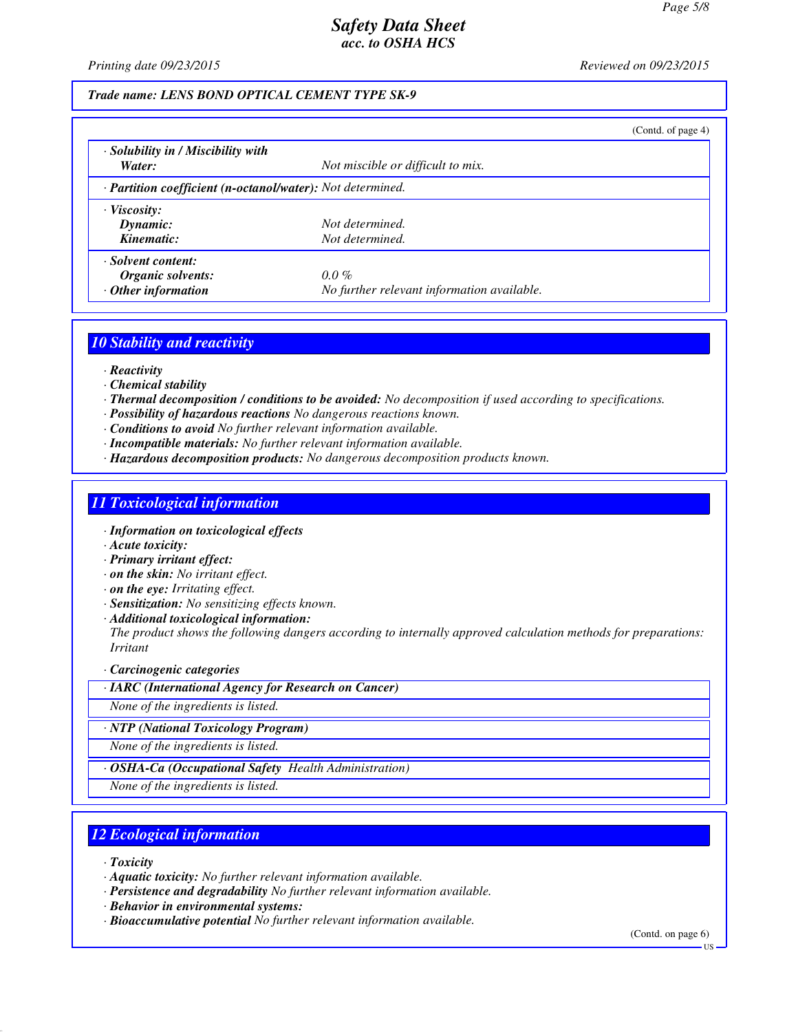*Printing date 09/23/2015 Reviewed on 09/23/2015*

### *Trade name: LENS BOND OPTICAL CEMENT TYPE SK-9*

|                                                            |                                            | (Contd. of page $4$ ) |
|------------------------------------------------------------|--------------------------------------------|-----------------------|
| · Solubility in / Miscibility with                         |                                            |                       |
| Water:                                                     | Not miscible or difficult to mix.          |                       |
| · Partition coefficient (n-octanol/water): Not determined. |                                            |                       |
| $\cdot$ Viscosity:                                         |                                            |                       |
| Dynamic:                                                   | Not determined.                            |                       |
| Kinematic:                                                 | Not determined.                            |                       |
| · Solvent content:                                         |                                            |                       |
| Organic solvents:                                          | $0.0\%$                                    |                       |
| $\cdot$ Other information                                  | No further relevant information available. |                       |

## *10 Stability and reactivity*

- *· Reactivity*
- *· Chemical stability*
- *· Thermal decomposition / conditions to be avoided: No decomposition if used according to specifications.*
- *· Possibility of hazardous reactions No dangerous reactions known.*
- *· Conditions to avoid No further relevant information available.*
- *· Incompatible materials: No further relevant information available.*
- *· Hazardous decomposition products: No dangerous decomposition products known.*

## *11 Toxicological information*

- *· Information on toxicological effects*
- *· Acute toxicity:*
- *· Primary irritant effect:*
- *· on the skin: No irritant effect.*
- *· on the eye: Irritating effect.*
- *· Sensitization: No sensitizing effects known.*
- *· Additional toxicological information:*

*The product shows the following dangers according to internally approved calculation methods for preparations: Irritant*

#### *· Carcinogenic categories*

*· IARC (International Agency for Research on Cancer)*

*None of the ingredients is listed.*

*· NTP (National Toxicology Program)*

*None of the ingredients is listed.*

*· OSHA-Ca (Occupational Safety Health Administration)*

*None of the ingredients is listed.*

## *12 Ecological information*

*· Toxicity*

*· Aquatic toxicity: No further relevant information available.*

- *· Persistence and degradability No further relevant information available.*
- *· Behavior in environmental systems:*
- *· Bioaccumulative potential No further relevant information available.*

(Contd. on page 6)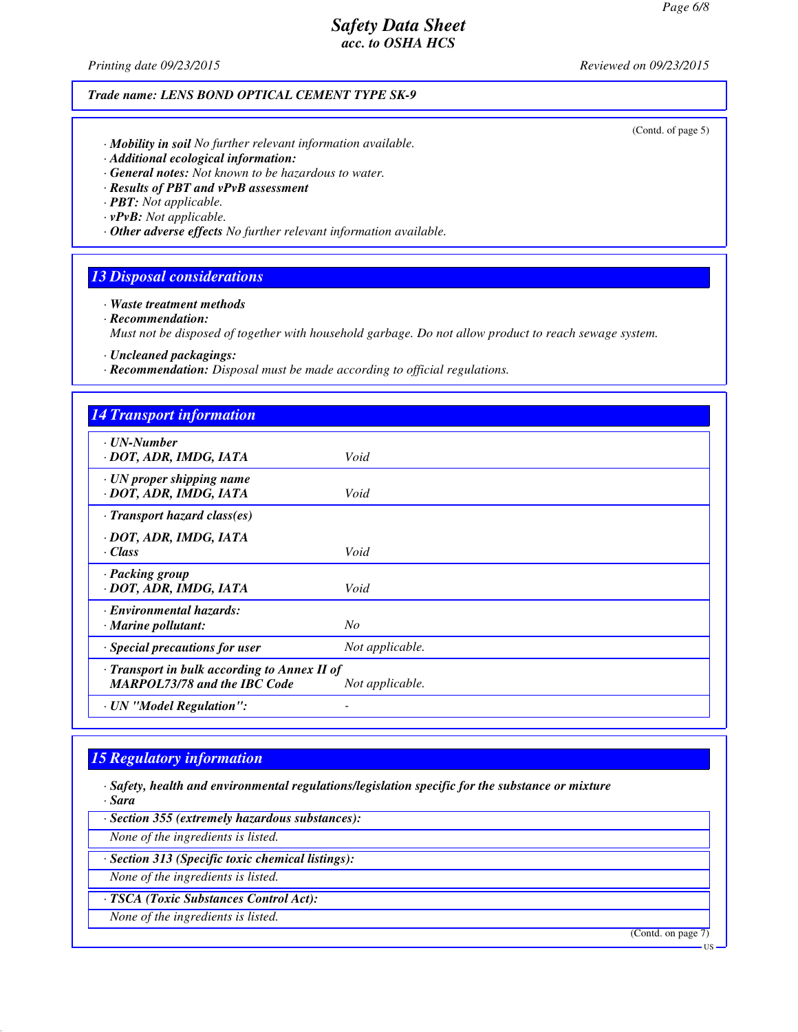*Printing date 09/23/2015 Reviewed on 09/23/2015*

## *Trade name: LENS BOND OPTICAL CEMENT TYPE SK-9*

(Contd. of page 5)

- *· Mobility in soil No further relevant information available.*
- *· Additional ecological information:*
- *· General notes: Not known to be hazardous to water.*
- *· Results of PBT and vPvB assessment*
- *· PBT: Not applicable.*
- *· vPvB: Not applicable.*
- *· Other adverse effects No further relevant information available.*

## *13 Disposal considerations*

*· Waste treatment methods*

*· Recommendation:*

*Must not be disposed of together with household garbage. Do not allow product to reach sewage system.*

*· Uncleaned packagings:*

*· Recommendation: Disposal must be made according to official regulations.*

| <b>14 Transport information</b>              |                 |
|----------------------------------------------|-----------------|
| · UN-Number                                  |                 |
| · DOT, ADR, IMDG, IATA                       | Void            |
| $\cdot$ UN proper shipping name              |                 |
| · DOT, ADR, IMDG, IATA                       | Void            |
| $\cdot$ Transport hazard class(es)           |                 |
| · DOT, ADR, IMDG, IATA                       |                 |
| $\cdot$ Class                                | Void            |
| · Packing group                              |                 |
| · DOT, ADR, IMDG, IATA                       | Void            |
| <b>Environmental hazards:</b>                |                 |
| $\cdot$ Marine pollutant:                    | No              |
| · Special precautions for user               | Not applicable. |
| · Transport in bulk according to Annex II of |                 |
| <b>MARPOL73/78 and the IBC Code</b>          | Not applicable. |
| · UN "Model Regulation":                     |                 |

# *15 Regulatory information*

*· Safety, health and environmental regulations/legislation specific for the substance or mixture · Sara*

*· Section 355 (extremely hazardous substances):*

*None of the ingredients is listed.*

*· Section 313 (Specific toxic chemical listings):*

*None of the ingredients is listed.*

*· TSCA (Toxic Substances Control Act):*

*None of the ingredients is listed.*

(Contd. on page 7)

**IIS**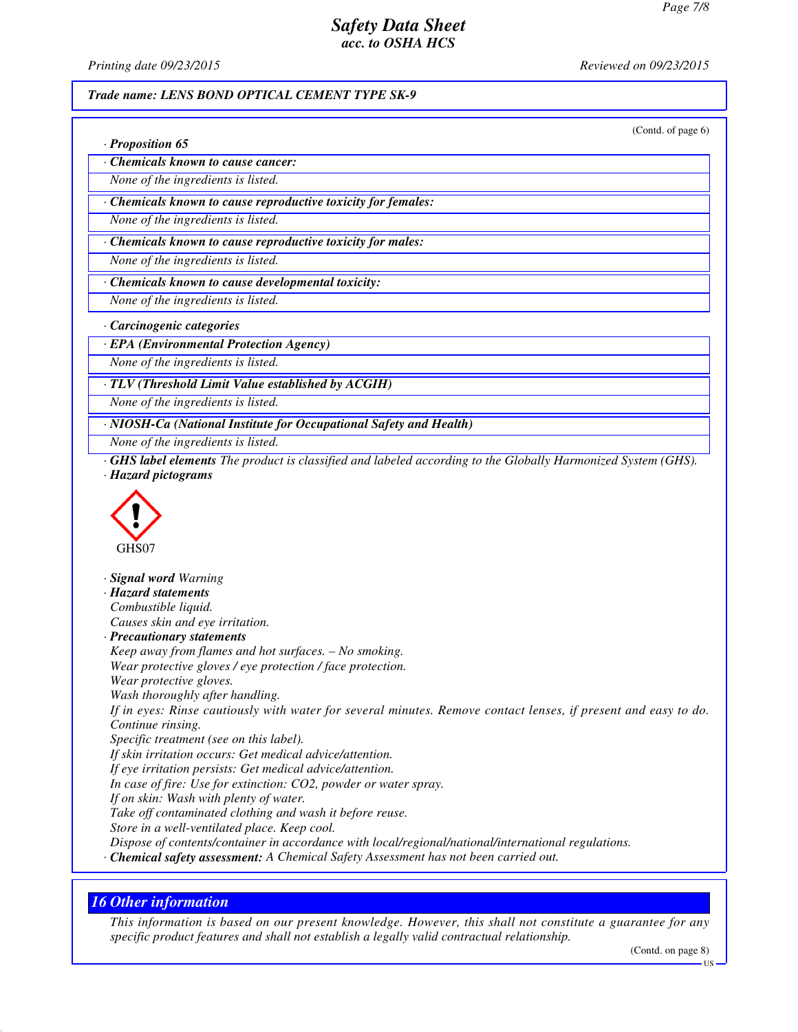*Printing date 09/23/2015 Reviewed on 09/23/2015*

### *Trade name: LENS BOND OPTICAL CEMENT TYPE SK-9*

(Contd. of page 6)

|  |  | · Proposition 65 |  |
|--|--|------------------|--|
|--|--|------------------|--|

*· Chemicals known to cause cancer:*

*None of the ingredients is listed.*

*· Chemicals known to cause reproductive toxicity for females:*

*None of the ingredients is listed.*

*· Chemicals known to cause reproductive toxicity for males:*

*None of the ingredients is listed.*

*· Chemicals known to cause developmental toxicity:*

*None of the ingredients is listed.*

*· Carcinogenic categories*

*· EPA (Environmental Protection Agency)*

*None of the ingredients is listed.*

*· TLV (Threshold Limit Value established by ACGIH)*

*None of the ingredients is listed.*

*· NIOSH-Ca (National Institute for Occupational Safety and Health)*

*None of the ingredients is listed.*

*· GHS label elements The product is classified and labeled according to the Globally Harmonized System (GHS). · Hazard pictograms*



*· Signal word Warning · Hazard statements Combustible liquid. Causes skin and eye irritation. · Precautionary statements Keep away from flames and hot surfaces. – No smoking. Wear protective gloves / eye protection / face protection. Wear protective gloves. Wash thoroughly after handling. If in eyes: Rinse cautiously with water for several minutes. Remove contact lenses, if present and easy to do. Continue rinsing. Specific treatment (see on this label). If skin irritation occurs: Get medical advice/attention. If eye irritation persists: Get medical advice/attention. In case of fire: Use for extinction: CO2, powder or water spray. If on skin: Wash with plenty of water. Take off contaminated clothing and wash it before reuse. Store in a well-ventilated place. Keep cool. Dispose of contents/container in accordance with local/regional/national/international regulations. · Chemical safety assessment: A Chemical Safety Assessment has not been carried out.*

## *16 Other information*

*This information is based on our present knowledge. However, this shall not constitute a guarantee for any specific product features and shall not establish a legally valid contractual relationship.*

(Contd. on page 8)

US